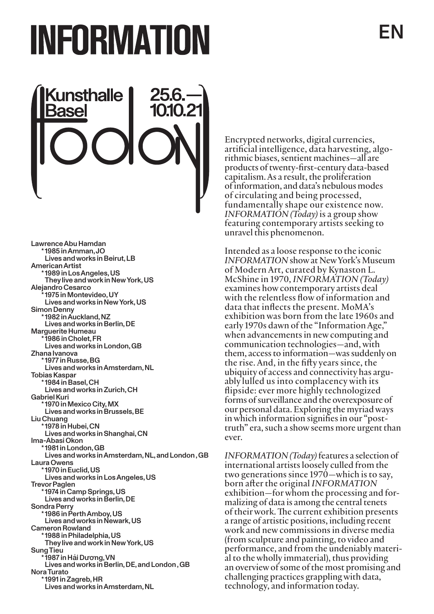## EN

# INFORMATION



Lawrence Abu Hamdan \* 1985 in Amman, JO Lives and works in Beirut, LB American Artist \* 1989 in Los Angeles, US They live and work in New York, US Alejandro Cesarco 1975 in Montevideo, UY Lives and works in New York, US Simon Denny \* 1982 in Auckland, NZ Lives and works in Berlin, DE Marguerite Humeau 1986 in Cholet, FR Lives and works in London, GB Zhana Ivanova \* 1977 in Russe, BG Lives and works in Amsterdam, NL Tobias Kaspar \* 1984 in Basel, CH Lives and works in Zurich, CH Gabriel Kuri \* 1970 in Mexico City, MX Lives and works in Brussels, BE Liu Chuang \* 1978 in Hubei, CN Lives and works in Shanghai, CN Ima-Abasi Okon \* 1981 in London, GB Lives and works in Amsterdam, NL, and London , GB Laura Owens \* 1970 in Euclid, US Lives and works in Los Angeles, US Trevor Paglen \* 1974 in Camp Springs, US<br>Lives and works in Berlin. DE Sondra Perry Lives and works in Newark, US Cameron Rowland \* 1988 in Philadelphia, US<br>They live and work in New York, US Sung Tieu \* 1987 in Hải Dương, VN Lives and works in Berlin, DE, and London , GB Nora Turato \* 1991 in Zagreb, HR Lives and works in Amsterdam, NL

Encrypted networks, digital currencies, artificial intelligence, data harvesting, algorithmic biases, sentient machines—all are products of twenty-first-century data-based capitalism. As a result, the proliferation of information, and data's nebulous modes of circulating and being processed, fundamentally shape our existence now. INFORMATION (Today) is a group show featuring contemporary artists seeking to unravel this phenomenon.

Intended as a loose response to the iconic INFORMATION show at New York's Museum of Modern Art, curated by Kynaston L. McShine in 1970, INFORMATION (Today) examines how contemporary artists deal with the relentless flow of information and data that inflects the present. MoMA's exhibition was born from the late 1960s and early 1970s dawn of the "Information Age," when advancements in new computing and communication technologies—and, with them, access to information—was suddenly on the rise. And, in the fifty years since, the ubiquity of access and connectivity has argu- ably lulled us into complacency with its flipside: ever more highly technologized forms of surveillance and the overexposure of our personal data. Exploring the myriad ways in which information signifies in our "posttruth" era, such a show seems more urgent than ever.

INFORMATION (Today) features a selection of international artists loosely culled from the two generations since 1970—which is to say, born after the original *INFORMATION* exhibition—for whom the processing and for- malizing of data is among the central tenets of their work. The current exhibition presents a range of artistic positions, including recent work and new commissions in diverse media (from sculpture and painting, to video and performance, and from the undeniably material to the wholly immaterial), thus providing an overview of some of the most promising and challenging practices grappling with data, technology, and information today.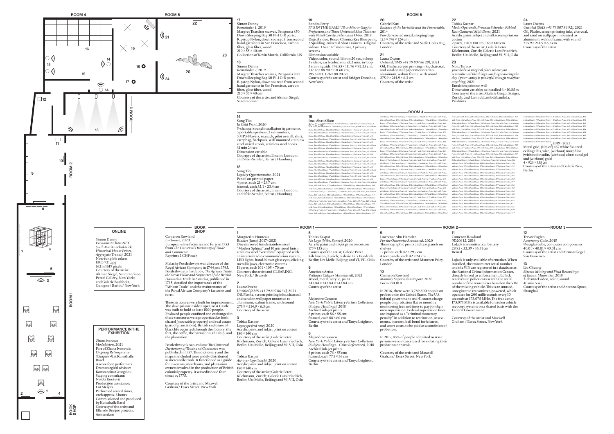cotton<br>2 parts,  $178 \times 140$  cm,  $163 \times 140$  cm Courtesy of the artist; Galerie Peter Kilchmann, Zurich; Galerie Lars Friedrich, Berlin; Urs Meile, Beijing; and VI, VII, Oslo

Dimension variable; as installed 6 × 10.85 m Courtesy of the artist; Galerie Gregor Staiger, Zurich; and LambdaLambdaLambda,

Moda Operandi, Proenza Schouler, Ribbed Knit Gathered Midi Dress, 2021 Acrylic paint, inkjet and silkscreen print on

your bed is a magical place where you remember all the things you forgot during the day / your vanity is powerful enough to defeat

Emulsion paint on wall

### 24

Laura Owens Untitled [SMS +41 79 807 86 92], 2021 Oil, Flashe, screen printing inks, charcoal, and sand on wallpaper mounted to aluminum, walnut frame, with sound  $275.9 \times 214.9 \times 6.3$  cm Courtesy of the artist

without Peace, 435 without Peace, 436 without Peace, 437 without Peace, 438 without Peace, 439 without Peace, 440 without Peace, 441 without Peace, 442 without Peace, 443 without Peace, 444 without Peace, 445 without Peace, 446 without Peace, 447 without Peace, 448 without Peace, 449 without Peace, 450 without Peace, 451 without Peace, 452 without Peace, 453 without Peace, 454 without Peace, 455 without Peace, 456 without Peace, 457 without Peace, 458<br>without Peace, 459 without Peace, 460 without Peace, 461 without Peace, 462 without Peace, 459 without Peace, 460 without Peace, 461 without Peace, 462<br>without Peace, 463 without Peace, 464 without Peace, 465 without Peace, 466<br>without Peace, 467 without Peace)<br> $,2019\text{--}2021$ 

Metal grid, (104 of) 467 white fissured ceiling tiles, wire, (without) morphine, (without) insulin, (without) ultrasound gel and (without) gold  $4 \times 923 \times 355$  cm

Cameron Rowland 0D20612, 2014 LoJack transmitter, car battery  $29.85 \times 32.39 \times 16.51$  cm

LoJack is only available aftermarket. When installed, the transmitter serial number and the VIN are registered in a database at the National Crime Information Center, directly linked to enforcement. LoJack receivers in police cars search the serial number of the transmitter based on the VIN  $of the$  missing vehicle. This is an unused unregistered transmitter, powered, which operates for 200 milliseconds every 10<br>seconds at 173.075 MHz. The frequency 173.075 MHz is available for stolen vehicle recovery systems on a shared basis with the Federal Government.



Peace, 297 with Peace, 298 without Peace, 299 with Peace, 300 without Peace, 301 with Peace, 302 without Peace, 303 with Peace, 304 without Peace, 305 with Peace, 306 without Peace, 307 with Peace, 308 without Peace, 309 with Peace, 310 without Peace, 311 with Peace, 312 without Peace, 313 with Peace, 314 without Peace, 315 with Peace, 316 without Peace, 317 with Peace, 318 without Peace, 319 with Peace,<br>320 without Peace, 321 with Peace, 322 without Peace, 323 with Peace, 324 without 320 without Peace, 321 with Peace, 322 without Peace, 323 with Peace, 324 without<br>Peace, 325 with Peace, 326 without Peace, 327 with Peace, 328 without Peace, 329<br>with Peace, 330 without Peace, 331 with Peace, 332 without 348 without Peace, 349 with Peace, 350 without Peace, 351 with Peace, 352 without Peace, 353 with Peace, 354 without Peace, 355 with Peace, 356 without Peace, 357<br>Peace, 353 with Peace, 354 without Peace, 359 with Peace, 360 without Peace, 367<br>with Peace, 358 without Peace, 359 with Peace, 360 without P with Peace, 358 without Peace, 359 with Peace, 360 without Peace, 361 with Peace,<br>362 without Peace, 363 with Peace, 364 without Peace, 365 without Peace, 366<br>without Peace, 367 without Peace, 368 without Peace, 369 withou without Peace, 375 without Peace, 376 without Peace, 377 without Peace, 378 without Peace, 379 without Peace, 380 without Peace, 381 without Peace, 382 without Peace, 383 without Peace, 384 without Peace, 385 without Peace, 386 without Peace, 387 without Peace, 388 without Peace, 389 without Peace, 39 without Peace, 39 I without Peace, 392 without Peace, 393 without Peace, 394<br>without Peace, 395 without Peace, 396 without Peace, 397 without Peace, 398<br>without Peace, 399 without Peace, 400 without Peace, 401 without Peac without Peace, 403 without Peace, 404 without Peace, 405 without Peace, 406 without Peace, 407 without Peace, 408 without Peace, 409 without Peace, 410 without Peace, 411 without Peace, 412 without Peace, 413 without Peace, 414 without Peace, 415 without Peace, 416 without Peace, 417 without Peace, 418 without Peace, 419 without Peace, 420 without Peace, 421 without Peace, 422 without Peace, 423 without Peace, 424 without Peace, 425 without Peace, 426 without Peace, 427 without Peace, 428 without Peace, 429 without Peace, 430

Courtesy of the artist and Galerie Neu, Berlin

#### 12

Trevor Paglen Autonomy Cube, 2015

Plexiglas cube, computer components  $40.01 \times 40.01 \times 40.01$  cm Courtesy of the artist and Altman Siegel, San Francisco

#### 13

Liu Chuang Bitcoin Mining and Field Recordings of Ethnic Minorities, 2018 3-channel video, color, sound 40 min 5 sec Courtesy of the artist and Antenna Space, Shanghai

Courtesy of the artist and Maxwell Graham / Essex Street, New York